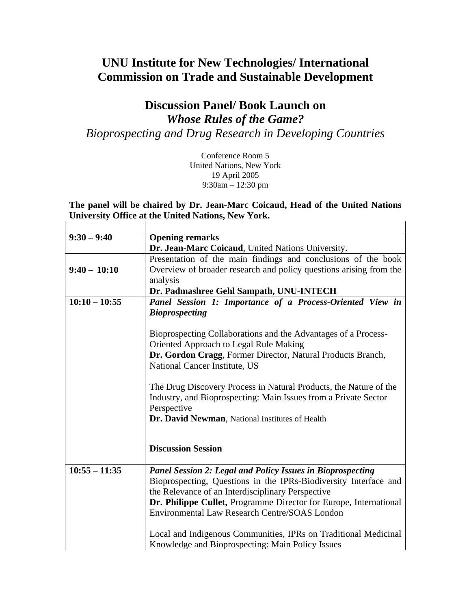## **UNU Institute for New Technologies/ International Commission on Trade and Sustainable Development**

## **Discussion Panel/ Book Launch on**  *Whose Rules of the Game?*

*Bioprospecting and Drug Research in Developing Countries*

Conference Room 5 United Nations, New York 19 April 2005 9:30am – 12:30 pm

**The panel will be chaired by Dr. Jean-Marc Coicaud, Head of the United Nations University Office at the United Nations, New York.** 

| $9:30 - 9:40$   | <b>Opening remarks</b>                                             |
|-----------------|--------------------------------------------------------------------|
|                 | Dr. Jean-Marc Coicaud, United Nations University.                  |
|                 | Presentation of the main findings and conclusions of the book      |
| $9:40 - 10:10$  | Overview of broader research and policy questions arising from the |
|                 | analysis                                                           |
|                 | Dr. Padmashree Gehl Sampath, UNU-INTECH                            |
| $10:10 - 10:55$ | Panel Session 1: Importance of a Process-Oriented View in          |
|                 | <b>Bioprospecting</b>                                              |
|                 |                                                                    |
|                 | Bioprospecting Collaborations and the Advantages of a Process-     |
|                 | Oriented Approach to Legal Rule Making                             |
|                 | Dr. Gordon Cragg, Former Director, Natural Products Branch,        |
|                 | National Cancer Institute, US                                      |
|                 |                                                                    |
|                 | The Drug Discovery Process in Natural Products, the Nature of the  |
|                 | Industry, and Bioprospecting: Main Issues from a Private Sector    |
|                 | Perspective                                                        |
|                 | Dr. David Newman, National Institutes of Health                    |
|                 |                                                                    |
|                 |                                                                    |
|                 | <b>Discussion Session</b>                                          |
|                 |                                                                    |
| $10:55 - 11:35$ | <b>Panel Session 2: Legal and Policy Issues in Bioprospecting</b>  |
|                 | Bioprospecting, Questions in the IPRs-Biodiversity Interface and   |
|                 | the Relevance of an Interdisciplinary Perspective                  |
|                 | Dr. Philippe Cullet, Programme Director for Europe, International  |
|                 | Environmental Law Research Centre/SOAS London                      |
|                 |                                                                    |
|                 | Local and Indigenous Communities, IPRs on Traditional Medicinal    |
|                 | Knowledge and Bioprospecting: Main Policy Issues                   |